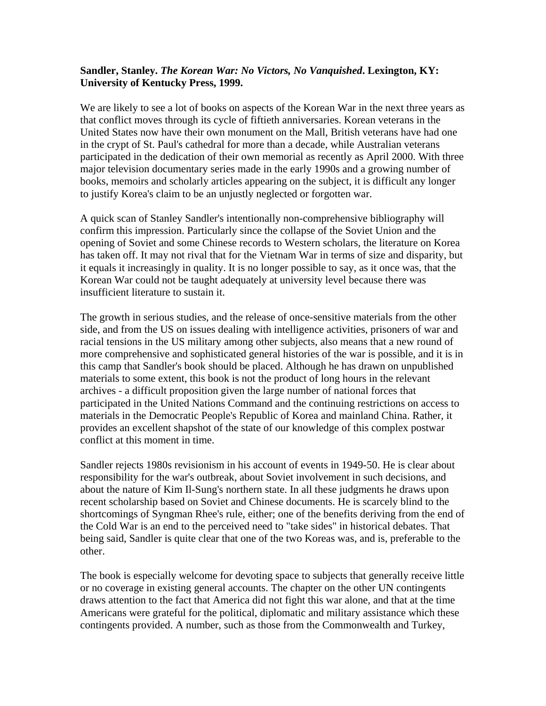## **Sandler, Stanley.** *The Korean War: No Victors, No Vanquished***. Lexington, KY: University of Kentucky Press, 1999.**

We are likely to see a lot of books on aspects of the Korean War in the next three years as that conflict moves through its cycle of fiftieth anniversaries. Korean veterans in the United States now have their own monument on the Mall, British veterans have had one in the crypt of St. Paul's cathedral for more than a decade, while Australian veterans participated in the dedication of their own memorial as recently as April 2000. With three major television documentary series made in the early 1990s and a growing number of books, memoirs and scholarly articles appearing on the subject, it is difficult any longer to justify Korea's claim to be an unjustly neglected or forgotten war.

A quick scan of Stanley Sandler's intentionally non-comprehensive bibliography will confirm this impression. Particularly since the collapse of the Soviet Union and the opening of Soviet and some Chinese records to Western scholars, the literature on Korea has taken off. It may not rival that for the Vietnam War in terms of size and disparity, but it equals it increasingly in quality. It is no longer possible to say, as it once was, that the Korean War could not be taught adequately at university level because there was insufficient literature to sustain it.

The growth in serious studies, and the release of once-sensitive materials from the other side, and from the US on issues dealing with intelligence activities, prisoners of war and racial tensions in the US military among other subjects, also means that a new round of more comprehensive and sophisticated general histories of the war is possible, and it is in this camp that Sandler's book should be placed. Although he has drawn on unpublished materials to some extent, this book is not the product of long hours in the relevant archives - a difficult proposition given the large number of national forces that participated in the United Nations Command and the continuing restrictions on access to materials in the Democratic People's Republic of Korea and mainland China. Rather, it provides an excellent shapshot of the state of our knowledge of this complex postwar conflict at this moment in time.

Sandler rejects 1980s revisionism in his account of events in 1949-50. He is clear about responsibility for the war's outbreak, about Soviet involvement in such decisions, and about the nature of Kim Il-Sung's northern state. In all these judgments he draws upon recent scholarship based on Soviet and Chinese documents. He is scarcely blind to the shortcomings of Syngman Rhee's rule, either; one of the benefits deriving from the end of the Cold War is an end to the perceived need to "take sides" in historical debates. That being said, Sandler is quite clear that one of the two Koreas was, and is, preferable to the other.

The book is especially welcome for devoting space to subjects that generally receive little or no coverage in existing general accounts. The chapter on the other UN contingents draws attention to the fact that America did not fight this war alone, and that at the time Americans were grateful for the political, diplomatic and military assistance which these contingents provided. A number, such as those from the Commonwealth and Turkey,